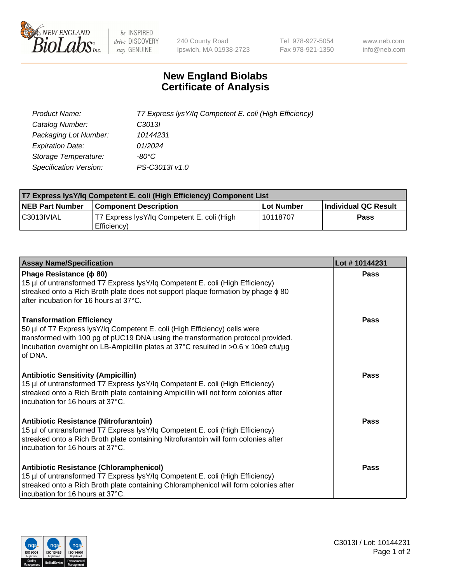

 $be$  INSPIRED drive DISCOVERY stay GENUINE

240 County Road Ipswich, MA 01938-2723 Tel 978-927-5054 Fax 978-921-1350 www.neb.com info@neb.com

## **New England Biolabs Certificate of Analysis**

| Product Name:                 | T7 Express lysY/lq Competent E. coli (High Efficiency) |
|-------------------------------|--------------------------------------------------------|
| Catalog Number:               | C3013I                                                 |
| Packaging Lot Number:         | 10144231                                               |
| <b>Expiration Date:</b>       | 01/2024                                                |
| Storage Temperature:          | -80°C                                                  |
| <b>Specification Version:</b> | PS-C3013I v1.0                                         |

| T7 Express lysY/lq Competent E. coli (High Efficiency) Component List |                                                           |            |                      |  |
|-----------------------------------------------------------------------|-----------------------------------------------------------|------------|----------------------|--|
| <b>NEB Part Number</b>                                                | <b>Component Description</b>                              | Lot Number | Individual QC Result |  |
| C3013IVIAL                                                            | T7 Express lysY/lg Competent E. coli (High<br>Efficiency) | l 10118707 | <b>Pass</b>          |  |

| <b>Assay Name/Specification</b>                                                                                                                                                                                                                                                                      | Lot #10144231 |
|------------------------------------------------------------------------------------------------------------------------------------------------------------------------------------------------------------------------------------------------------------------------------------------------------|---------------|
| Phage Resistance ( $\phi$ 80)<br>15 µl of untransformed T7 Express lysY/lq Competent E. coli (High Efficiency)<br>streaked onto a Rich Broth plate does not support plaque formation by phage $\phi$ 80<br>after incubation for 16 hours at 37°C.                                                    | Pass          |
| <b>Transformation Efficiency</b><br>50 µl of T7 Express lysY/lq Competent E. coli (High Efficiency) cells were<br>transformed with 100 pg of pUC19 DNA using the transformation protocol provided.<br>Incubation overnight on LB-Ampicillin plates at 37°C resulted in >0.6 x 10e9 cfu/µg<br>of DNA. | Pass          |
| <b>Antibiotic Sensitivity (Ampicillin)</b><br>15 µl of untransformed T7 Express lysY/lq Competent E. coli (High Efficiency)<br>streaked onto a Rich Broth plate containing Ampicillin will not form colonies after<br>incubation for 16 hours at 37°C.                                               | Pass          |
| Antibiotic Resistance (Nitrofurantoin)<br>15 µl of untransformed T7 Express lysY/lq Competent E. coli (High Efficiency)<br>streaked onto a Rich Broth plate containing Nitrofurantoin will form colonies after<br>incubation for 16 hours at 37°C.                                                   | Pass          |
| Antibiotic Resistance (Chloramphenicol)<br>15 µl of untransformed T7 Express lysY/lq Competent E. coli (High Efficiency)<br>streaked onto a Rich Broth plate containing Chloramphenicol will form colonies after<br>incubation for 16 hours at 37°C.                                                 | Pass          |